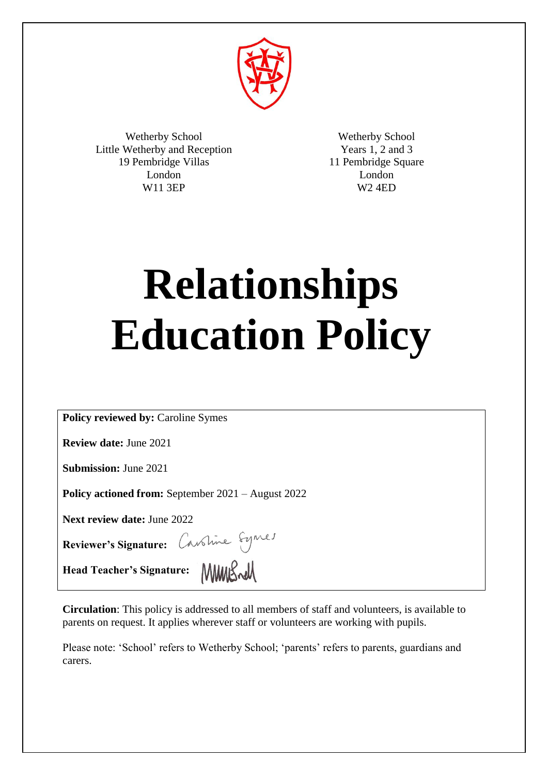

Wetherby School Little Wetherby and Reception 19 Pembridge Villas London W11 3EP

Wetherby School Years 1, 2 and 3 11 Pembridge Square London W2 4ED

# **Relationships Education Policy**

**Policy reviewed by:** Caroline Symes

**Review date:** June 2021

**Submission:** June 2021

**Policy actioned from:** September 2021 – August 2022

**Next review date:** June 2022

**Reviewer's Signature:** 

**Head Teacher's Signature:** MWUS~W

**Circulation**: This policy is addressed to all members of staff and volunteers, is available to parents on request. It applies wherever staff or volunteers are working with pupils.

Please note: 'School' refers to Wetherby School; 'parents' refers to parents, guardians and carers.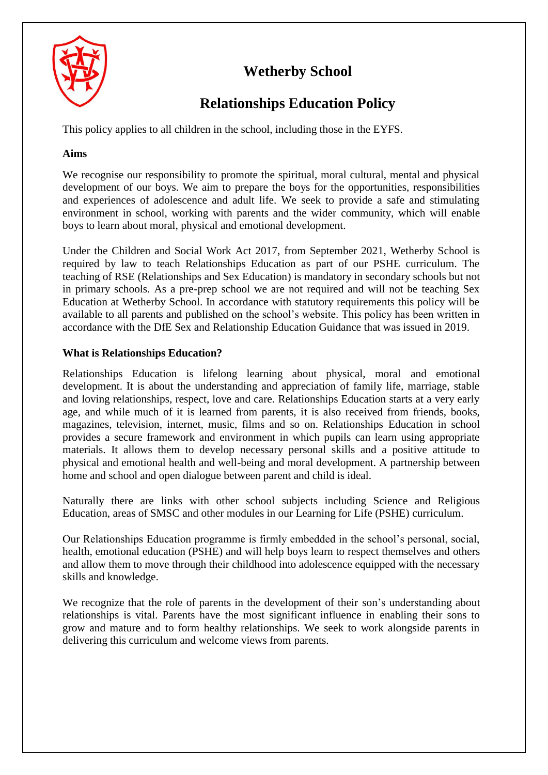

# **Wetherby School**

# **Relationships Education Policy**

This policy applies to all children in the school, including those in the EYFS.

# **Aims**

We recognise our responsibility to promote the spiritual, moral cultural, mental and physical development of our boys. We aim to prepare the boys for the opportunities, responsibilities and experiences of adolescence and adult life. We seek to provide a safe and stimulating environment in school, working with parents and the wider community, which will enable boys to learn about moral, physical and emotional development.

Under the Children and Social Work Act 2017, from September 2021, Wetherby School is required by law to teach Relationships Education as part of our PSHE curriculum. The teaching of RSE (Relationships and Sex Education) is mandatory in secondary schools but not in primary schools. As a pre-prep school we are not required and will not be teaching Sex Education at Wetherby School. In accordance with statutory requirements this policy will be available to all parents and published on the school's website. This policy has been written in accordance with the DfE Sex and Relationship Education Guidance that was issued in 2019.

# **What is Relationships Education?**

Relationships Education is lifelong learning about physical, moral and emotional development. It is about the understanding and appreciation of family life, marriage, stable and loving relationships, respect, love and care. Relationships Education starts at a very early age, and while much of it is learned from parents, it is also received from friends, books, magazines, television, internet, music, films and so on. Relationships Education in school provides a secure framework and environment in which pupils can learn using appropriate materials. It allows them to develop necessary personal skills and a positive attitude to physical and emotional health and well-being and moral development. A partnership between home and school and open dialogue between parent and child is ideal.

Naturally there are links with other school subjects including Science and Religious Education, areas of SMSC and other modules in our Learning for Life (PSHE) curriculum.

Our Relationships Education programme is firmly embedded in the school's personal, social, health, emotional education (PSHE) and will help boys learn to respect themselves and others and allow them to move through their childhood into adolescence equipped with the necessary skills and knowledge.

We recognize that the role of parents in the development of their son's understanding about relationships is vital. Parents have the most significant influence in enabling their sons to grow and mature and to form healthy relationships. We seek to work alongside parents in delivering this curriculum and welcome views from parents.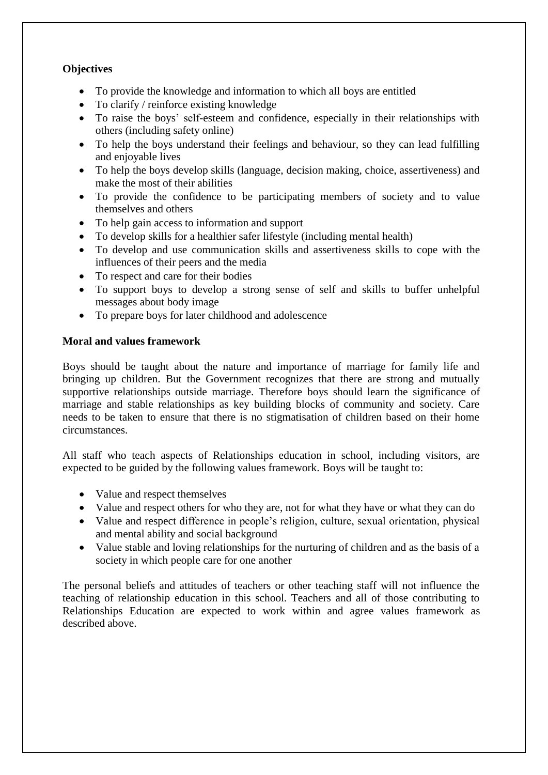## **Objectives**

- To provide the knowledge and information to which all boys are entitled
- To clarify / reinforce existing knowledge
- To raise the boys' self-esteem and confidence, especially in their relationships with others (including safety online)
- To help the boys understand their feelings and behaviour, so they can lead fulfilling and enjoyable lives
- To help the boys develop skills (language, decision making, choice, assertiveness) and make the most of their abilities
- To provide the confidence to be participating members of society and to value themselves and others
- To help gain access to information and support
- To develop skills for a healthier safer lifestyle (including mental health)
- To develop and use communication skills and assertiveness skills to cope with the influences of their peers and the media
- To respect and care for their bodies
- To support boys to develop a strong sense of self and skills to buffer unhelpful messages about body image
- To prepare boys for later childhood and adolescence

#### **Moral and values framework**

Boys should be taught about the nature and importance of marriage for family life and bringing up children. But the Government recognizes that there are strong and mutually supportive relationships outside marriage. Therefore boys should learn the significance of marriage and stable relationships as key building blocks of community and society. Care needs to be taken to ensure that there is no stigmatisation of children based on their home circumstances.

All staff who teach aspects of Relationships education in school, including visitors, are expected to be guided by the following values framework. Boys will be taught to:

- Value and respect themselves
- Value and respect others for who they are, not for what they have or what they can do
- Value and respect difference in people's religion, culture, sexual orientation, physical and mental ability and social background
- Value stable and loving relationships for the nurturing of children and as the basis of a society in which people care for one another

The personal beliefs and attitudes of teachers or other teaching staff will not influence the teaching of relationship education in this school. Teachers and all of those contributing to Relationships Education are expected to work within and agree values framework as described above.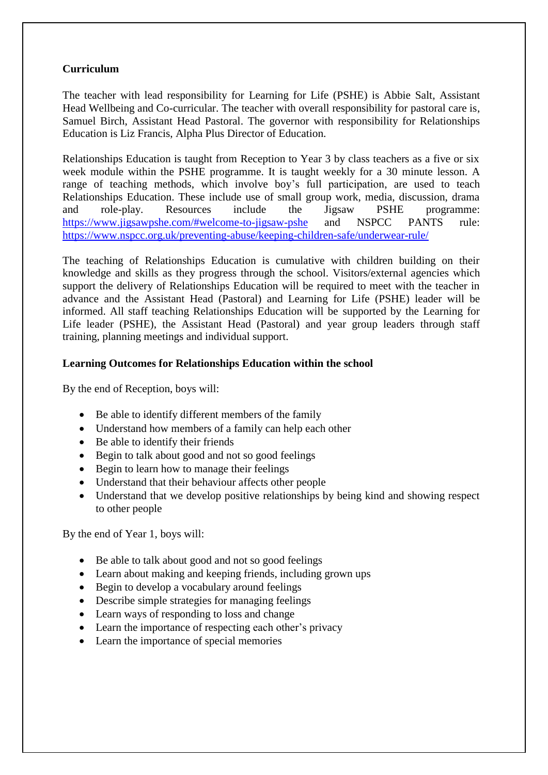#### **Curriculum**

The teacher with lead responsibility for Learning for Life (PSHE) is Abbie Salt, Assistant Head Wellbeing and Co-curricular. The teacher with overall responsibility for pastoral care is, Samuel Birch, Assistant Head Pastoral. The governor with responsibility for Relationships Education is Liz Francis, Alpha Plus Director of Education.

Relationships Education is taught from Reception to Year 3 by class teachers as a five or six week module within the PSHE programme. It is taught weekly for a 30 minute lesson. A range of teaching methods, which involve boy's full participation, are used to teach Relationships Education. These include use of small group work, media, discussion, drama and role-play. Resources include the Jigsaw PSHE programme: <https://www.jigsawpshe.com/#welcome-to-jigsaw-pshe> and NSPCC PANTS rule: <https://www.nspcc.org.uk/preventing-abuse/keeping-children-safe/underwear-rule/>

The teaching of Relationships Education is cumulative with children building on their knowledge and skills as they progress through the school. Visitors/external agencies which support the delivery of Relationships Education will be required to meet with the teacher in advance and the Assistant Head (Pastoral) and Learning for Life (PSHE) leader will be informed. All staff teaching Relationships Education will be supported by the Learning for Life leader (PSHE), the Assistant Head (Pastoral) and year group leaders through staff training, planning meetings and individual support.

#### **Learning Outcomes for Relationships Education within the school**

By the end of Reception, boys will:

- Be able to identify different members of the family
- Understand how members of a family can help each other
- Be able to identify their friends
- Begin to talk about good and not so good feelings
- Begin to learn how to manage their feelings
- Understand that their behaviour affects other people
- Understand that we develop positive relationships by being kind and showing respect to other people

By the end of Year 1, boys will:

- Be able to talk about good and not so good feelings
- Learn about making and keeping friends, including grown ups
- Begin to develop a vocabulary around feelings
- Describe simple strategies for managing feelings
- Learn ways of responding to loss and change
- Learn the importance of respecting each other's privacy
- Learn the importance of special memories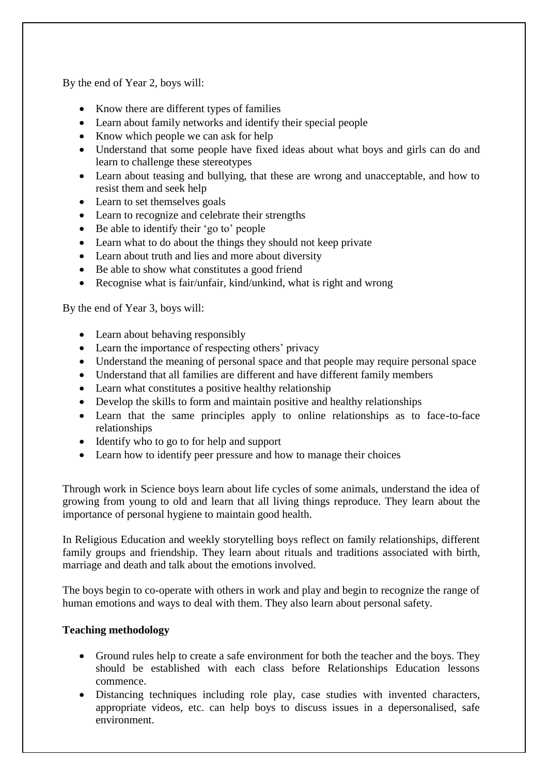By the end of Year 2, boys will:

- Know there are different types of families
- Learn about family networks and identify their special people
- Know which people we can ask for help
- Understand that some people have fixed ideas about what boys and girls can do and learn to challenge these stereotypes
- Learn about teasing and bullying, that these are wrong and unacceptable, and how to resist them and seek help
- Learn to set themselves goals
- Learn to recognize and celebrate their strengths
- Be able to identify their 'go to' people
- Learn what to do about the things they should not keep private
- Learn about truth and lies and more about diversity
- Be able to show what constitutes a good friend
- Recognise what is fair/unfair, kind/unkind, what is right and wrong

By the end of Year 3, boys will:

- Learn about behaving responsibly
- Learn the importance of respecting others' privacy
- Understand the meaning of personal space and that people may require personal space
- Understand that all families are different and have different family members
- Learn what constitutes a positive healthy relationship
- Develop the skills to form and maintain positive and healthy relationships
- Learn that the same principles apply to online relationships as to face-to-face relationships
- Identify who to go to for help and support
- Learn how to identify peer pressure and how to manage their choices

Through work in Science boys learn about life cycles of some animals, understand the idea of growing from young to old and learn that all living things reproduce. They learn about the importance of personal hygiene to maintain good health.

In Religious Education and weekly storytelling boys reflect on family relationships, different family groups and friendship. They learn about rituals and traditions associated with birth, marriage and death and talk about the emotions involved.

The boys begin to co-operate with others in work and play and begin to recognize the range of human emotions and ways to deal with them. They also learn about personal safety.

#### **Teaching methodology**

- Ground rules help to create a safe environment for both the teacher and the boys. They should be established with each class before Relationships Education lessons commence.
- Distancing techniques including role play, case studies with invented characters, appropriate videos, etc. can help boys to discuss issues in a depersonalised, safe environment.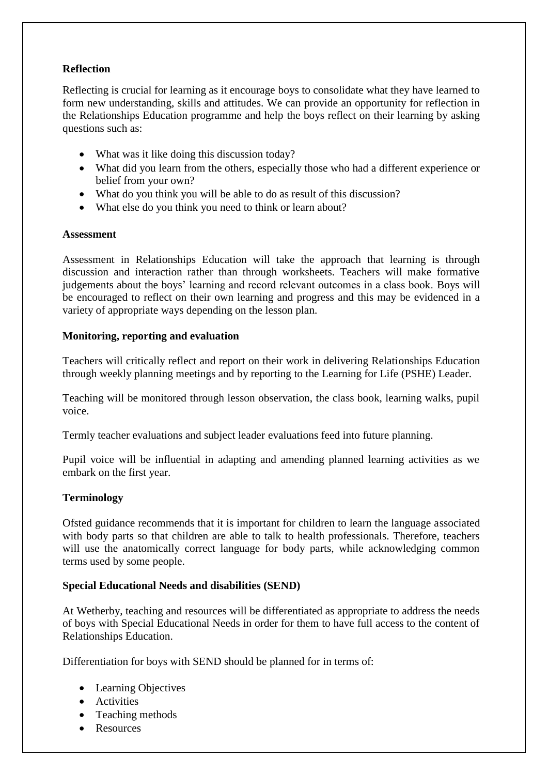## **Reflection**

Reflecting is crucial for learning as it encourage boys to consolidate what they have learned to form new understanding, skills and attitudes. We can provide an opportunity for reflection in the Relationships Education programme and help the boys reflect on their learning by asking questions such as:

- What was it like doing this discussion today?
- What did you learn from the others, especially those who had a different experience or belief from your own?
- What do you think you will be able to do as result of this discussion?
- What else do you think you need to think or learn about?

#### **Assessment**

Assessment in Relationships Education will take the approach that learning is through discussion and interaction rather than through worksheets. Teachers will make formative judgements about the boys' learning and record relevant outcomes in a class book. Boys will be encouraged to reflect on their own learning and progress and this may be evidenced in a variety of appropriate ways depending on the lesson plan.

#### **Monitoring, reporting and evaluation**

Teachers will critically reflect and report on their work in delivering Relationships Education through weekly planning meetings and by reporting to the Learning for Life (PSHE) Leader.

Teaching will be monitored through lesson observation, the class book, learning walks, pupil voice.

Termly teacher evaluations and subject leader evaluations feed into future planning.

Pupil voice will be influential in adapting and amending planned learning activities as we embark on the first year.

#### **Terminology**

Ofsted guidance recommends that it is important for children to learn the language associated with body parts so that children are able to talk to health professionals. Therefore, teachers will use the anatomically correct language for body parts, while acknowledging common terms used by some people.

#### **Special Educational Needs and disabilities (SEND)**

At Wetherby, teaching and resources will be differentiated as appropriate to address the needs of boys with Special Educational Needs in order for them to have full access to the content of Relationships Education.

Differentiation for boys with SEND should be planned for in terms of:

- Learning Objectives
- Activities
- Teaching methods
- Resources